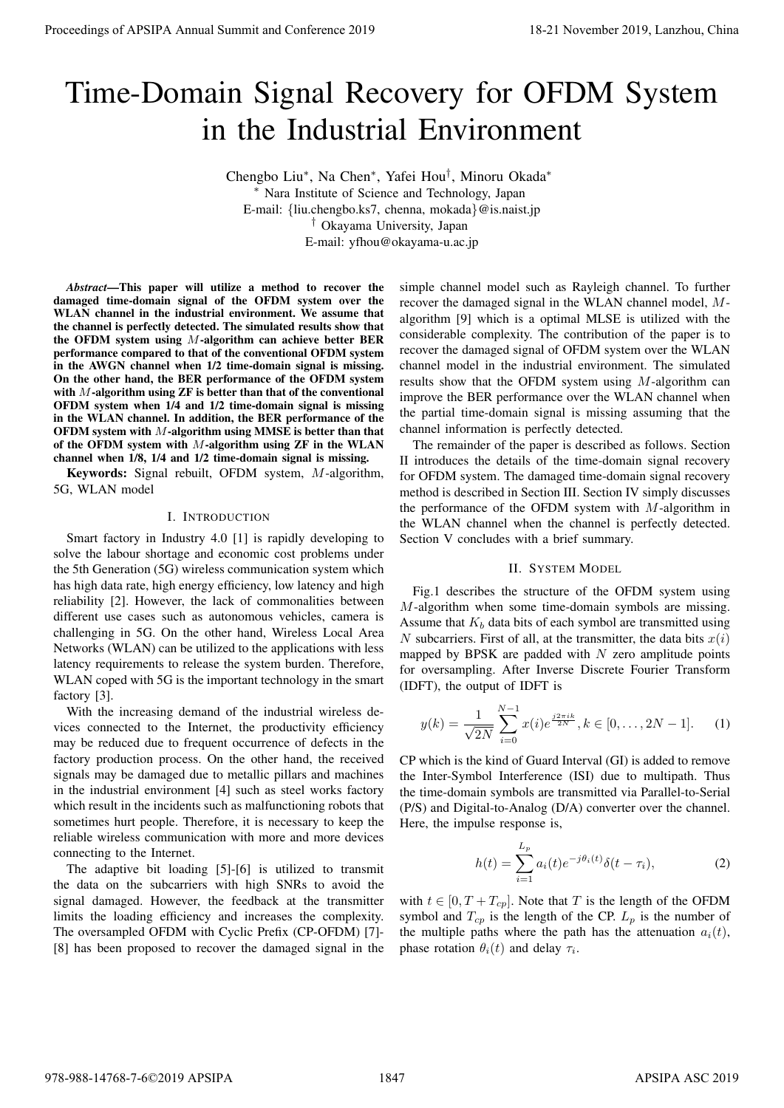# Time-Domain Signal Recovery for OFDM System in the Industrial Environment

Chengbo Liu<sup>∗</sup> , Na Chen<sup>∗</sup> , Yafei Hou† , Minoru Okada<sup>∗</sup> <sup>∗</sup> Nara Institute of Science and Technology, Japan E-mail: {liu.chengbo.ks7, chenna, mokada}@is.naist.jp † Okayama University, Japan E-mail: yfhou@okayama-u.ac.jp

*Abstract*—This paper will utilize a method to recover the damaged time-domain signal of the OFDM system over the WLAN channel in the industrial environment. We assume that the channel is perfectly detected. The simulated results show that the OFDM system using M-algorithm can achieve better BER performance compared to that of the conventional OFDM system in the AWGN channel when 1/2 time-domain signal is missing. On the other hand, the BER performance of the OFDM system with M-algorithm using ZF is better than that of the conventional OFDM system when 1/4 and 1/2 time-domain signal is missing in the WLAN channel. In addition, the BER performance of the OFDM system with  $M$ -algorithm using MMSE is better than that of the OFDM system with  $M$ -algorithm using  $ZF$  in the WLAN channel when 1/8, 1/4 and 1/2 time-domain signal is missing. **Proceedings of APSIPA Annual Summit and Conference 2019**<br> **Trime-Domain Signal Recovery for OFDM System**<br>
in the Industrial Environment consequence 2019 and Conference 2019<br>
<sup>2</sup> Not the Conference 2018 and Conference 201

Keywords: Signal rebuilt, OFDM system, M-algorithm, 5G, WLAN model

# I. INTRODUCTION

Smart factory in Industry 4.0 [1] is rapidly developing to solve the labour shortage and economic cost problems under the 5th Generation (5G) wireless communication system which has high data rate, high energy efficiency, low latency and high reliability [2]. However, the lack of commonalities between different use cases such as autonomous vehicles, camera is challenging in 5G. On the other hand, Wireless Local Area Networks (WLAN) can be utilized to the applications with less latency requirements to release the system burden. Therefore, WLAN coped with 5G is the important technology in the smart factory [3].

With the increasing demand of the industrial wireless devices connected to the Internet, the productivity efficiency may be reduced due to frequent occurrence of defects in the factory production process. On the other hand, the received signals may be damaged due to metallic pillars and machines in the industrial environment [4] such as steel works factory which result in the incidents such as malfunctioning robots that sometimes hurt people. Therefore, it is necessary to keep the reliable wireless communication with more and more devices connecting to the Internet.

The adaptive bit loading [5]-[6] is utilized to transmit the data on the subcarriers with high SNRs to avoid the signal damaged. However, the feedback at the transmitter limits the loading efficiency and increases the complexity. The oversampled OFDM with Cyclic Prefix (CP-OFDM) [7]- [8] has been proposed to recover the damaged signal in the

simple channel model such as Rayleigh channel. To further recover the damaged signal in the WLAN channel model, Malgorithm [9] which is a optimal MLSE is utilized with the considerable complexity. The contribution of the paper is to recover the damaged signal of OFDM system over the WLAN channel model in the industrial environment. The simulated results show that the OFDM system using M-algorithm can improve the BER performance over the WLAN channel when the partial time-domain signal is missing assuming that the channel information is perfectly detected.

The remainder of the paper is described as follows. Section II introduces the details of the time-domain signal recovery for OFDM system. The damaged time-domain signal recovery method is described in Section III. Section IV simply discusses the performance of the OFDM system with  $M$ -algorithm in the WLAN channel when the channel is perfectly detected. Section V concludes with a brief summary.

## II. SYSTEM MODEL

Fig.1 describes the structure of the OFDM system using M-algorithm when some time-domain symbols are missing. Assume that  $K_b$  data bits of each symbol are transmitted using N subcarriers. First of all, at the transmitter, the data bits  $x(i)$ mapped by BPSK are padded with  $N$  zero amplitude points for oversampling. After Inverse Discrete Fourier Transform (IDFT), the output of IDFT is

$$
y(k) = \frac{1}{\sqrt{2N}} \sum_{i=0}^{N-1} x(i) e^{\frac{j2\pi ik}{2N}}, k \in [0, \dots, 2N-1].
$$
 (1)

CP which is the kind of Guard Interval (GI) is added to remove the Inter-Symbol Interference (ISI) due to multipath. Thus the time-domain symbols are transmitted via Parallel-to-Serial (P/S) and Digital-to-Analog (D/A) converter over the channel. Here, the impulse response is,

$$
h(t) = \sum_{i=1}^{L_p} a_i(t) e^{-j\theta_i(t)} \delta(t - \tau_i),
$$
 (2)

with  $t \in [0, T + T_{cp}]$ . Note that T is the length of the OFDM symbol and  $T_{cp}$  is the length of the CP.  $L_p$  is the number of the multiple paths where the path has the attenuation  $a_i(t)$ , phase rotation  $\theta_i(t)$  and delay  $\tau_i$ .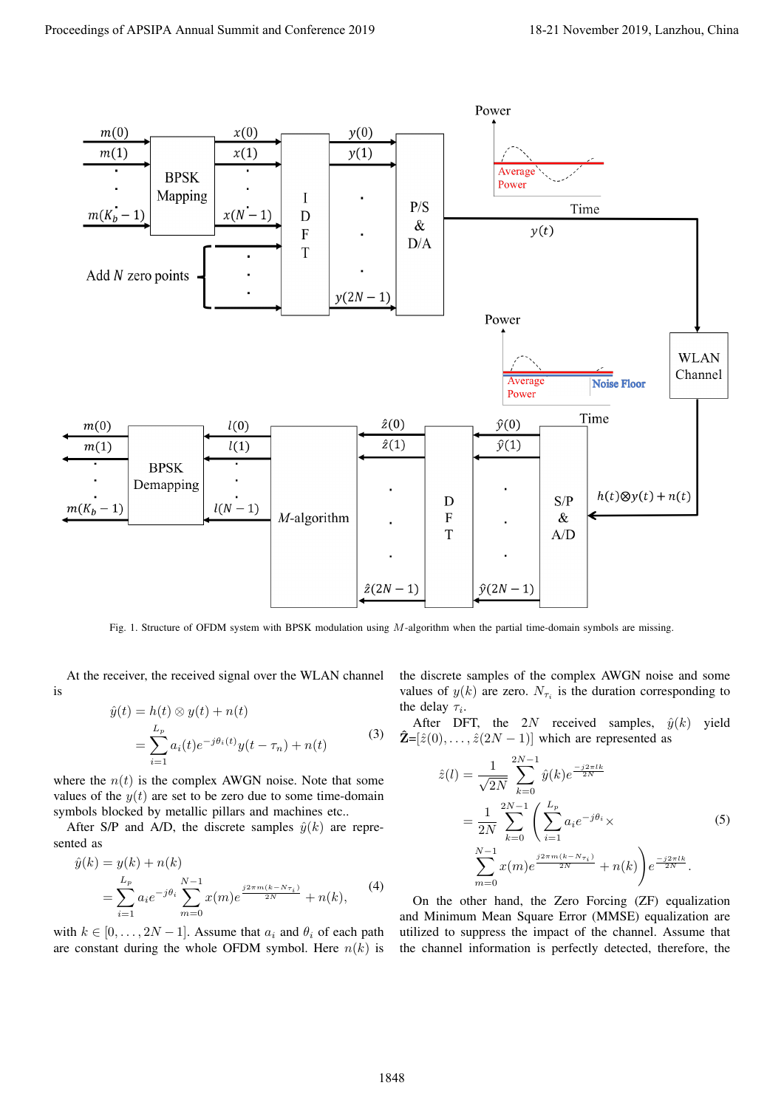

Fig. 1. Structure of OFDM system with BPSK modulation using  $M$ -algorithm when the partial time-domain symbols are missing.

At the receiver, the received signal over the WLAN channel is

$$
\hat{y}(t) = h(t) \otimes y(t) + n(t)
$$
\n
$$
= \sum_{i=1}^{L_p} a_i(t) e^{-j\theta_i(t)} y(t - \tau_n) + n(t)
$$
\n(3)

where the  $n(t)$  is the complex AWGN noise. Note that some values of the  $y(t)$  are set to be zero due to some time-domain symbols blocked by metallic pillars and machines etc..

After S/P and A/D, the discrete samples  $\hat{y}(k)$  are represented as

$$
\hat{y}(k) = y(k) + n(k) \n= \sum_{i=1}^{L_p} a_i e^{-j\theta_i} \sum_{m=0}^{N-1} x(m) e^{\frac{j2\pi m(k - N_{\tau_i})}{2N}} + n(k),
$$
\n(4)

with  $k \in [0, \ldots, 2N-1]$ . Assume that  $a_i$  and  $\theta_i$  of each path are constant during the whole OFDM symbol. Here  $n(k)$  is

the discrete samples of the complex AWGN noise and some values of  $y(k)$  are zero.  $N_{\tau_i}$  is the duration corresponding to the delay  $\tau_i$ .

After DFT, the 2N received samples,  $\hat{y}(k)$  yield  $\hat{\mathbf{Z}}=[\hat{z}(0), \ldots, \hat{z}(2N-1)]$  which are represented as

$$
\hat{z}(l) = \frac{1}{\sqrt{2N}} \sum_{k=0}^{2N-1} \hat{y}(k) e^{\frac{-j2\pi lk}{2N}}
$$
  
= 
$$
\frac{1}{2N} \sum_{k=0}^{2N-1} \left( \sum_{i=1}^{L_p} a_i e^{-j\theta_i} \times \right)
$$
  

$$
\sum_{m=0}^{N-1} x(m) e^{\frac{j2\pi m (k - N_{\tau_i})}{2N}} + n(k) e^{\frac{-j2\pi lk}{2N}}.
$$
 (5)

On the other hand, the Zero Forcing (ZF) equalization and Minimum Mean Square Error (MMSE) equalization are utilized to suppress the impact of the channel. Assume that the channel information is perfectly detected, therefore, the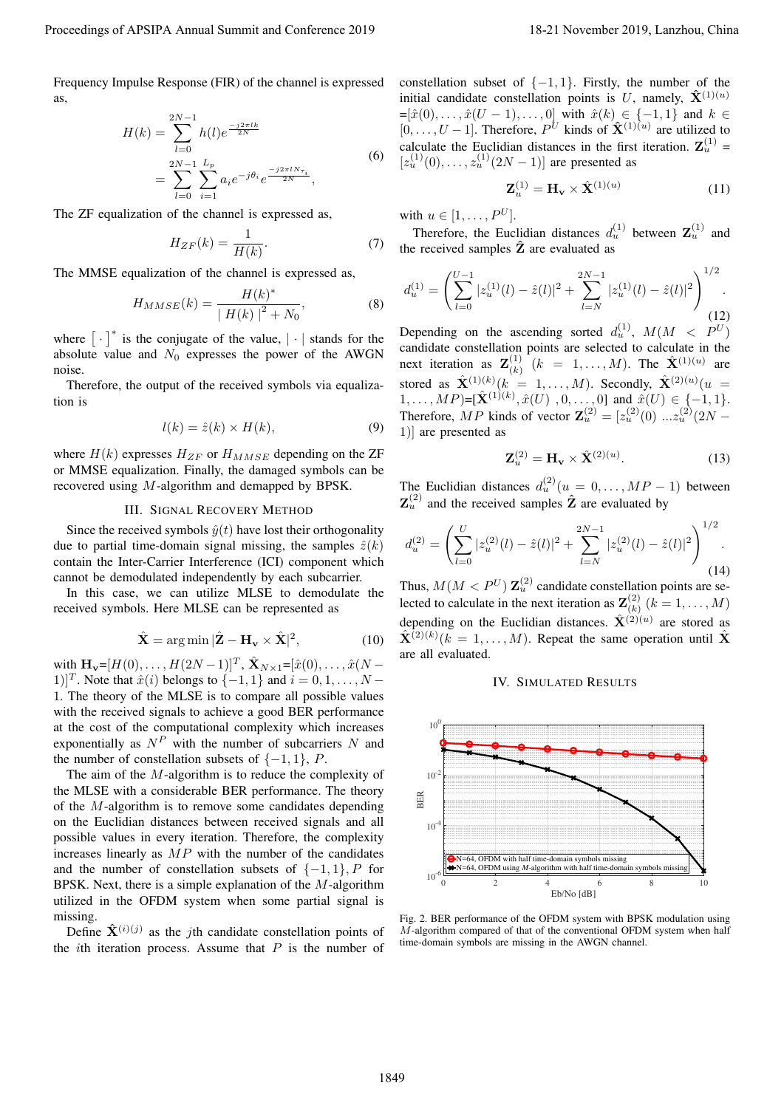Frequency Impulse Response (FIR) of the channel is expressed as,

$$
H(k) = \sum_{l=0}^{2N-1} h(l)e^{\frac{-j2\pi lk}{2N}}
$$
  
= 
$$
\sum_{l=0}^{2N-1} \sum_{i=1}^{L_p} a_i e^{-j\theta_i} e^{\frac{-j2\pi l N_{\tau_i}}{2N}},
$$
 (6)

The ZF equalization of the channel is expressed as,

$$
H_{ZF}(k) = \frac{1}{H(k)}.\t(7)
$$

The MMSE equalization of the channel is expressed as,

$$
H_{MMSE}(k) = \frac{H(k)^{*}}{|H(k)|^{2} + N_{0}},
$$
\n(8)

where  $\begin{bmatrix} \cdot \\ \end{bmatrix}^*$  is the conjugate of the value,  $\begin{bmatrix} \cdot \\ \end{bmatrix}$  stands for the absolute value and  $N_0$  expresses the power of the AWGN noise.

Therefore, the output of the received symbols via equalization is

$$
l(k) = \hat{z}(k) \times H(k),\tag{9}
$$

where  $H(k)$  expresses  $H_{ZF}$  or  $H_{MMSE}$  depending on the ZF or MMSE equalization. Finally, the damaged symbols can be recovered using M-algorithm and demapped by BPSK.

# III. SIGNAL RECOVERY METHOD

Since the received symbols  $\hat{y}(t)$  have lost their orthogonality due to partial time-domain signal missing, the samples  $\hat{z}(k)$ contain the Inter-Carrier Interference (ICI) component which cannot be demodulated independently by each subcarrier.

In this case, we can utilize MLSE to demodulate the received symbols. Here MLSE can be represented as

$$
\hat{\mathbf{X}} = \arg \min |\hat{\mathbf{Z}} - \mathbf{H}_{\mathbf{v}} \times \hat{\mathbf{X}}|^2, \tag{10}
$$

with  $\mathbf{H}_{\mathbf{v}} = [H(0), \dots, H(2N-1)]^T$ ,  $\hat{\mathbf{X}}_{N \times 1} = [\hat{x}(0), \dots, \hat{x}(N-1)]^T$ 1)]<sup>T</sup>. Note that  $\hat{x}(i)$  belongs to  $\{-1, 1\}$  and  $i = 0, 1, \dots, N - 1$ 1. The theory of the MLSE is to compare all possible values with the received signals to achieve a good BER performance at the cost of the computational complexity which increases exponentially as  $N^P$  with the number of subcarriers N and the number of constellation subsets of  $\{-1, 1\}$ , P.

The aim of the M-algorithm is to reduce the complexity of the MLSE with a considerable BER performance. The theory of the M-algorithm is to remove some candidates depending on the Euclidian distances between received signals and all possible values in every iteration. Therefore, the complexity increases linearly as  $MP$  with the number of the candidates and the number of constellation subsets of  $\{-1, 1\}$ , P for BPSK. Next, there is a simple explanation of the  $M$ -algorithm utilized in the OFDM system when some partial signal is missing.

Define  $\hat{\mathbf{X}}^{(i)(j)}$  as the *j*th candidate constellation points of the *i*th iteration process. Assume that  $P$  is the number of constellation subset of  $\{-1, 1\}$ . Firstly, the number of the initial candidate constellation points is U, namely,  $\hat{\mathbf{X}}^{(1)(u)}$  $=[\hat{x}(0), \ldots, \hat{x}(U-1), \ldots, 0]$  with  $\hat{x}(k) \in \{-1, 1\}$  and  $k \in$  $[0, \ldots, U-1]$ . Therefore,  $P^U$  kinds of  $\hat{\mathbf{X}}^{(1)(u)}$  are utilized to calculate the Euclidian distances in the first iteration.  $\mathbf{Z}_u^{(1)}$  =  $[z_u^{(1)}(0),...,z_u^{(1)}(2N-1)]$  are presented as

$$
\mathbf{Z}_u^{(1)} = \mathbf{H}_\mathbf{v} \times \hat{\mathbf{X}}^{(1)(u)}
$$
(11)

with  $u \in [1, \ldots, P^U]$ .

Therefore, the Euclidian distances  $d_u^{(1)}$  between  $\mathbf{Z}_u^{(1)}$  and the received samples  $\hat{Z}$  are evaluated as

$$
d_u^{(1)} = \left(\sum_{l=0}^{U-1} |z_u^{(1)}(l) - \hat{z}(l)|^2 + \sum_{l=N}^{2N-1} |z_u^{(1)}(l) - \hat{z}(l)|^2\right)^{1/2}.
$$
\n(12)

Depending on the ascending sorted  $d_u^{(1)}$ ,  $M(M < P^U)$ candidate constellation points are selected to calculate in the next iteration as  $\mathbf{Z}^{(1)}_{(k)}$  $\mathbf{K}_{(k)}^{(1)}$   $(k = 1, ..., M)$ . The  $\mathbf{\hat{X}}^{(1)(u)}$  are stored as  $\hat{\mathbf{X}}^{(1)(k)}(k = 1, \ldots, M)$ . Secondly,  $\hat{\mathbf{X}}^{(2)(u)}(u =$  $(1, \ldots, MP) = [\hat{\mathbf{X}}^{(1)(k)}, \hat{x}(U), 0, \ldots, 0]$  and  $\hat{x}(U) \in \{-1, 1\}.$ Therefore, MP kinds of vector  $\mathbf{Z}_{u}^{(2)} = [z_{u}^{(2)}(0) \dots z_{u}^{(2)}(2N -$ 1)] are presented as

$$
\mathbf{Z}_u^{(2)} = \mathbf{H}_\mathbf{v} \times \hat{\mathbf{X}}^{(2)(u)}.
$$
 (13)

The Euclidian distances  $d_u^{(2)}(u = 0, \dots, MP - 1)$  between  $\mathbf{Z}_{u}^{(2)}$  and the received samples  $\hat{\mathbf{Z}}$  are evaluated by

$$
d_u^{(2)} = \left(\sum_{l=0}^U |z_u^{(2)}(l) - \hat{z}(l)|^2 + \sum_{l=N}^{2N-1} |z_u^{(2)}(l) - \hat{z}(l)|^2\right)^{1/2}.
$$
\n(14)

Thus,  $M(M < P^U)$   $\mathbb{Z}_u^{(2)}$  candidate constellation points are selected to calculate in the next iteration as  $\mathbf{Z}_{(k)}^{(2)}$  $\binom{(2)}{(k)} (k = 1, \ldots, M)$ depending on the Euclidian distances.  $\hat{\mathbf{X}}^{(2)(u)}$  are stored as  $\hat{\mathbf{X}}^{(2)(k)}$   $(k = 1, ..., M)$ . Repeat the same operation until  $\hat{\mathbf{X}}$ are all evaluated.

# IV. SIMULATED RESULTS



Fig. 2. BER performance of the OFDM system with BPSK modulation using  $M$ -algorithm compared of that of the conventional OFDM system when half time-domain symbols are missing in the AWGN channel.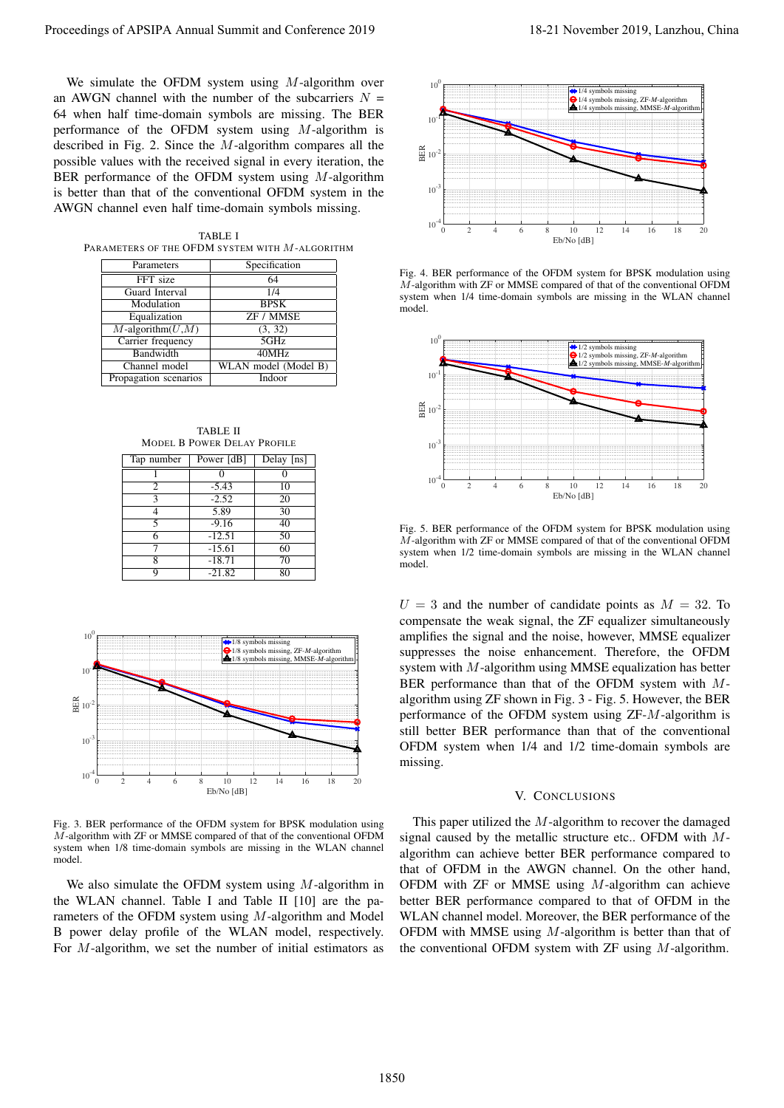We simulate the OFDM system using  $M$ -algorithm over an AWGN channel with the number of the subcarriers  $N =$ 64 when half time-domain symbols are missing. The BER performance of the OFDM system using M-algorithm is described in Fig. 2. Since the M-algorithm compares all the possible values with the received signal in every iteration, the BER performance of the OFDM system using M-algorithm is better than that of the conventional OFDM system in the AWGN channel even half time-domain symbols missing.

TABLE I PARAMETERS OF THE OFDM SYSTEM WITH M-ALGORITHM

| Parameters             | Specification        |  |
|------------------------|----------------------|--|
| FFT size               | 64                   |  |
| Guard Interval         | 1/4                  |  |
| Modulation             | <b>BPSK</b>          |  |
| Equalization           | <b>ZF / MMSE</b>     |  |
| $M$ -algorithm $(U,M)$ | (3, 32)              |  |
| Carrier frequency      | 5GHz                 |  |
| Bandwidth              | 40MHz                |  |
| Channel model          | WLAN model (Model B) |  |
| Propagation scenarios  | Indoor               |  |

TABLE II MODEL B POWER DELAY PROFILE

| Tap number | Power [dB] | Delay [ns] |
|------------|------------|------------|
|            |            |            |
| 2          | $-5.43$    | 10         |
|            | $-2.52$    | 20         |
|            | 5.89       | 30         |
|            | $-9.16$    | 40         |
|            | $-12.51$   | 50         |
|            | $-15.61$   | 60         |
| 8          | $-18.71$   | 70         |
| q          | $-21.82$   | 80         |



Fig. 3. BER performance of the OFDM system for BPSK modulation using M-algorithm with ZF or MMSE compared of that of the conventional OFDM system when 1/8 time-domain symbols are missing in the WLAN channel model.

We also simulate the OFDM system using  $M$ -algorithm in the WLAN channel. Table I and Table II [10] are the parameters of the OFDM system using M-algorithm and Model B power delay profile of the WLAN model, respectively. For M-algorithm, we set the number of initial estimators as



Fig. 4. BER performance of the OFDM system for BPSK modulation using  $\overline{M}$ -algorithm with ZF or MMSE compared of that of the conventional OFDM system when 1/4 time-domain symbols are missing in the WLAN channel model.



Fig. 5. BER performance of the OFDM system for BPSK modulation using M-algorithm with ZF or MMSE compared of that of the conventional OFDM system when 1/2 time-domain symbols are missing in the WLAN channel model.

 $U = 3$  and the number of candidate points as  $M = 32$ . To compensate the weak signal, the ZF equalizer simultaneously amplifies the signal and the noise, however, MMSE equalizer suppresses the noise enhancement. Therefore, the OFDM system with M-algorithm using MMSE equalization has better BER performance than that of the OFDM system with Malgorithm using ZF shown in Fig. 3 - Fig. 5. However, the BER performance of the OFDM system using ZF-M-algorithm is still better BER performance than that of the conventional OFDM system when 1/4 and 1/2 time-domain symbols are missing.

#### V. CONCLUSIONS

This paper utilized the M-algorithm to recover the damaged signal caused by the metallic structure etc.. OFDM with Malgorithm can achieve better BER performance compared to that of OFDM in the AWGN channel. On the other hand, OFDM with ZF or MMSE using M-algorithm can achieve better BER performance compared to that of OFDM in the WLAN channel model. Moreover, the BER performance of the OFDM with MMSE using  $M$ -algorithm is better than that of the conventional OFDM system with  $ZF$  using  $M$ -algorithm.